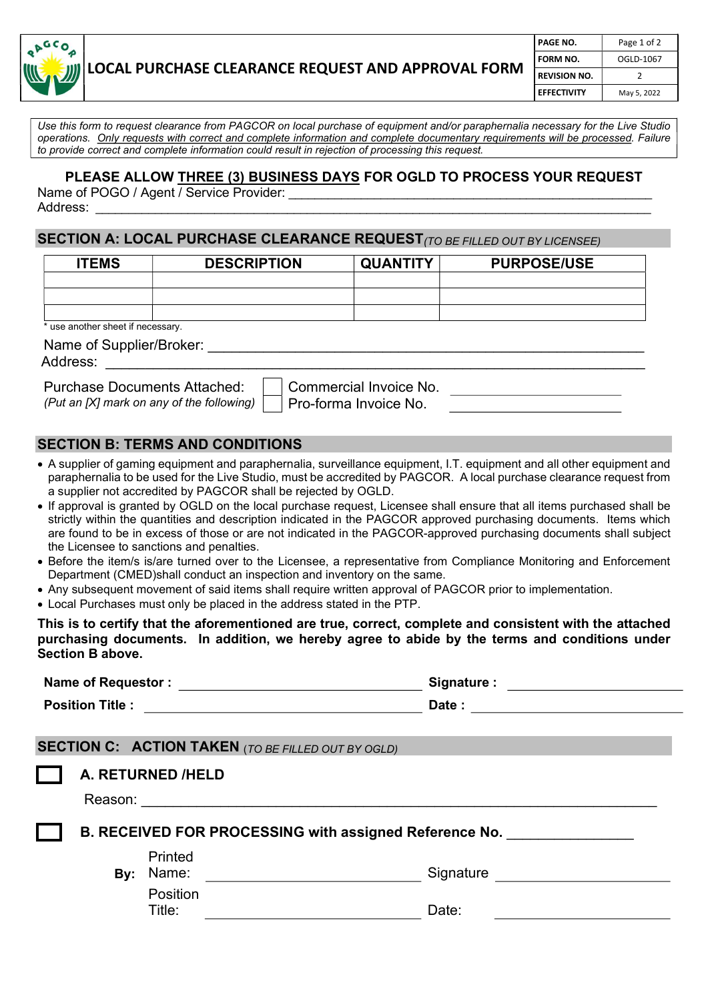

| PAGE NO.            | Page 1 of 2 |  |
|---------------------|-------------|--|
| FORM NO.            | OGLD-1067   |  |
| <b>REVISION NO.</b> | 7           |  |
| <b>EFFECTIVITY</b>  | May 5, 2022 |  |

Use this form to request clearance from PAGCOR on local purchase of equipment and/or paraphernalia necessary for the Live Studio operations. Only requests with correct and complete information and complete documentary requirements will be processed. Failure to provide correct and complete information could result in rejection of processing this request.

### PLEASE ALLOW THREE (3) BUSINESS DAYS FOR OGLD TO PROCESS YOUR REQUEST

Name of POGO / Agent / Service Provider: Address: \_\_\_\_\_\_\_\_\_\_\_\_\_\_\_\_\_\_\_\_\_\_\_\_\_\_\_\_\_\_\_\_\_\_\_\_\_\_\_\_\_\_\_\_\_\_\_\_\_\_\_\_\_\_\_\_\_\_\_\_\_\_\_\_\_\_\_\_\_\_\_\_\_\_\_\_\_\_\_\_\_\_\_\_

## SECTION A: LOCAL PURCHASE CLEARANCE REQUEST (TO BE FILLED OUT BY LICENSEE)

| <b>ITEMS</b>                      | <b>DESCRIPTION</b> | <b>QUANTITY</b> | <b>PURPOSE/USE</b> |  |  |  |
|-----------------------------------|--------------------|-----------------|--------------------|--|--|--|
|                                   |                    |                 |                    |  |  |  |
|                                   |                    |                 |                    |  |  |  |
|                                   |                    |                 |                    |  |  |  |
| * use another sheet if necessary. |                    |                 |                    |  |  |  |
| Name of Supplier/Broker:          |                    |                 |                    |  |  |  |

Address:

Purchase Documents Attached: | Commercial Invoice No.

(Put an [X] mark on any of the following)  $\Box$  Pro-forma Invoice No.

#### SECTION B: TERMS AND CONDITIONS

- A supplier of gaming equipment and paraphernalia, surveillance equipment, I.T. equipment and all other equipment and paraphernalia to be used for the Live Studio, must be accredited by PAGCOR. A local purchase clearance request from a supplier not accredited by PAGCOR shall be rejected by OGLD.
- If approval is granted by OGLD on the local purchase request, Licensee shall ensure that all items purchased shall be strictly within the quantities and description indicated in the PAGCOR approved purchasing documents. Items which are found to be in excess of those or are not indicated in the PAGCOR-approved purchasing documents shall subject the Licensee to sanctions and penalties.
- Before the item/s is/are turned over to the Licensee, a representative from Compliance Monitoring and Enforcement Department (CMED)shall conduct an inspection and inventory on the same.
- Any subsequent movement of said items shall require written approval of PAGCOR prior to implementation.
- Local Purchases must only be placed in the address stated in the PTP.

This is to certify that the aforementioned are true, correct, complete and consistent with the attached purchasing documents. In addition, we hereby agree to abide by the terms and conditions under Section B above.

|                                                        | Signature :                  |                                                                                                                                                                                                                                |  |  |  |  |  |
|--------------------------------------------------------|------------------------------|--------------------------------------------------------------------------------------------------------------------------------------------------------------------------------------------------------------------------------|--|--|--|--|--|
| Position Title : <u>__________________</u> ___         |                              | Date:                                                                                                                                                                                                                          |  |  |  |  |  |
|                                                        |                              |                                                                                                                                                                                                                                |  |  |  |  |  |
|                                                        |                              | <b>SECTION C: ACTION TAKEN</b> (TO BE FILLED OUT BY OGLD)                                                                                                                                                                      |  |  |  |  |  |
|                                                        | A. RETURNED /HELD            |                                                                                                                                                                                                                                |  |  |  |  |  |
|                                                        |                              | Reason: Network and the second state of the second state of the second state of the second state of the second state of the second state of the second state of the second state of the second state of the second state of th |  |  |  |  |  |
| B. RECEIVED FOR PROCESSING with assigned Reference No. |                              |                                                                                                                                                                                                                                |  |  |  |  |  |
| By:                                                    | Printed<br>Name:<br>Position | Signature <u>________</u>                                                                                                                                                                                                      |  |  |  |  |  |
|                                                        | Title:                       | Date:                                                                                                                                                                                                                          |  |  |  |  |  |